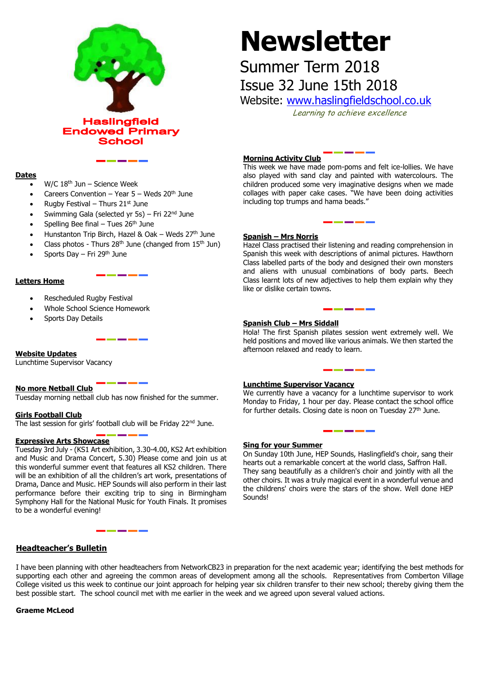

# **Newsletter**

# Summer Term 2018 Issue 32 June 15th 2018

Website: [www.haslingfieldschool.co.uk](http://www.haslingfieldschool.co.uk/)

Learning to achieve excellence

## **Dates**

- $W/C$  18<sup>th</sup> Jun Science Week
- Careers Convention Year  $5$  Weds  $20<sup>th</sup>$  June
- Rugby Festival Thurs  $21<sup>st</sup>$  June
- Swimming Gala (selected yr 5s) Fri 22<sup>nd</sup> June
- Spelling Bee final Tues  $26<sup>th</sup>$  June
- Hunstanton Trip Birch, Hazel & Oak Weds  $27<sup>th</sup>$  June
- Class photos Thurs 28<sup>th</sup> June (changed from  $15<sup>th</sup>$  Jun)
- Sports Day Fri 29th June

# **Letters Home**

- Rescheduled Rugby Festival
- Whole School Science Homework
- Sports Day Details

# **Website Updates**

Lunchtime Supervisor Vacancy

## **No more Netball Club**

Tuesday morning netball club has now finished for the summer.

# **Girls Football Club**

The last session for girls' football club will be Friday 22<sup>nd</sup> June.

## **Expressive Arts Showcase**

Tuesday 3rd July - (KS1 Art exhibition, 3.30-4.00, KS2 Art exhibition and Music and Drama Concert, 5.30) Please come and join us at this wonderful summer event that features all KS2 children. There will be an exhibition of all the children's art work, presentations of Drama, Dance and Music. HEP Sounds will also perform in their last performance before their exciting trip to sing in Birmingham Symphony Hall for the National Music for Youth Finals. It promises to be a wonderful evening!

# **Headteacher's Bulletin**

# **Morning Activity Club**

This week we have made pom-poms and felt ice-lollies. We have also played with sand clay and painted with watercolours. The children produced some very imaginative designs when we made collages with paper cake cases. "We have been doing activities including top trumps and hama beads."

# **Spanish – Mrs Norris**

Hazel Class practised their listening and reading comprehension in Spanish this week with descriptions of animal pictures. Hawthorn Class labelled parts of the body and designed their own monsters and aliens with unusual combinations of body parts. Beech Class learnt lots of new adjectives to help them explain why they like or dislike certain towns.

# **Spanish Club – Mrs Siddall**

Hola! The first Spanish pilates session went extremely well. We held positions and moved like various animals. We then started the afternoon relaxed and ready to learn.

## **Lunchtime Supervisor Vacancy**

**Luncntime Supervisor vacancy**<br>We currently have a vacancy for a lunchtime supervisor to work Monday to Friday, 1 hour per day. Please contact the school office for further details. Closing date is noon on Tuesday 27th June.

## **Sing for your Summer**

On Sunday 10th June, HEP Sounds, Haslingfield's choir, sang their hearts out a remarkable concert at the world class, Saffron Hall. They sang beautifully as a children's choir and jointly with all the other choirs. It was a truly magical event in a wonderful venue and the childrens' choirs were the stars of the show. Well done HEP **Sounds!** 

I have been planning with other headteachers from NetworkCB23 in preparation for the next academic year; identifying the best methods for supporting each other and agreeing the common areas of development among all the schools. Representatives from Comberton Village College visited us this week to continue our joint approach for helping year six children transfer to their new school; thereby giving them the best possible start. The school council met with me earlier in the week and we agreed upon several valued actions.

## **Graeme McLeod**